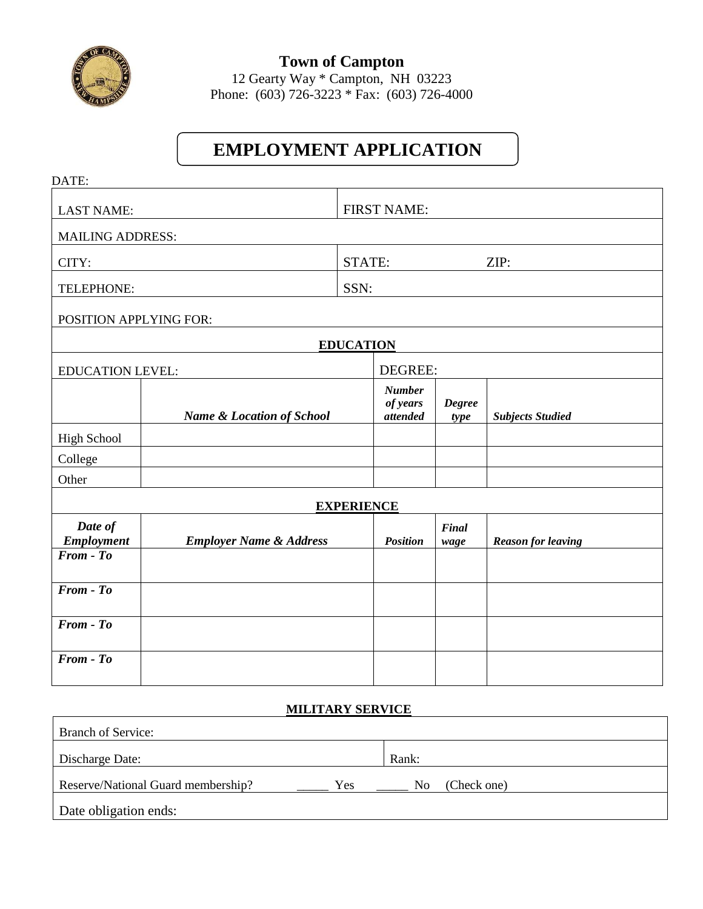

**Town of Campton** 12 Gearty Way \* Campton, NH 03223 Phone: (603) 726-3223 \* Fax: (603) 726-4000

# **EMPLOYMENT APPLICATION**

| DATE:                        |                                      |                   |                                       |                       |                           |  |
|------------------------------|--------------------------------------|-------------------|---------------------------------------|-----------------------|---------------------------|--|
| <b>LAST NAME:</b>            |                                      |                   | <b>FIRST NAME:</b>                    |                       |                           |  |
| <b>MAILING ADDRESS:</b>      |                                      |                   |                                       |                       |                           |  |
| CITY:                        |                                      | STATE:<br>ZIP:    |                                       |                       |                           |  |
| TELEPHONE:                   |                                      | SSN:              |                                       |                       |                           |  |
| POSITION APPLYING FOR:       |                                      |                   |                                       |                       |                           |  |
| <b>EDUCATION</b>             |                                      |                   |                                       |                       |                           |  |
|                              | <b>EDUCATION LEVEL:</b>              |                   | DEGREE:                               |                       |                           |  |
|                              | <b>Name &amp; Location of School</b> |                   | <b>Number</b><br>of years<br>attended | <b>Degree</b><br>type | <b>Subjects Studied</b>   |  |
| <b>High School</b>           |                                      |                   |                                       |                       |                           |  |
| College                      |                                      |                   |                                       |                       |                           |  |
| Other                        |                                      |                   |                                       |                       |                           |  |
|                              |                                      | <b>EXPERIENCE</b> |                                       |                       |                           |  |
| Date of<br><b>Employment</b> | <b>Employer Name &amp; Address</b>   |                   | <b>Position</b>                       | <b>Final</b><br>wage  | <b>Reason for leaving</b> |  |
| $From - To$                  |                                      |                   |                                       |                       |                           |  |
| $From - To$                  |                                      |                   |                                       |                       |                           |  |
| From - To                    |                                      |                   |                                       |                       |                           |  |
| From - To                    |                                      |                   |                                       |                       |                           |  |

## **MILITARY SERVICE**

| <b>Branch of Service:</b>          |     |       |             |
|------------------------------------|-----|-------|-------------|
| Discharge Date:                    |     | Rank: |             |
| Reserve/National Guard membership? | Yes | No    | (Check one) |
| Date obligation ends:              |     |       |             |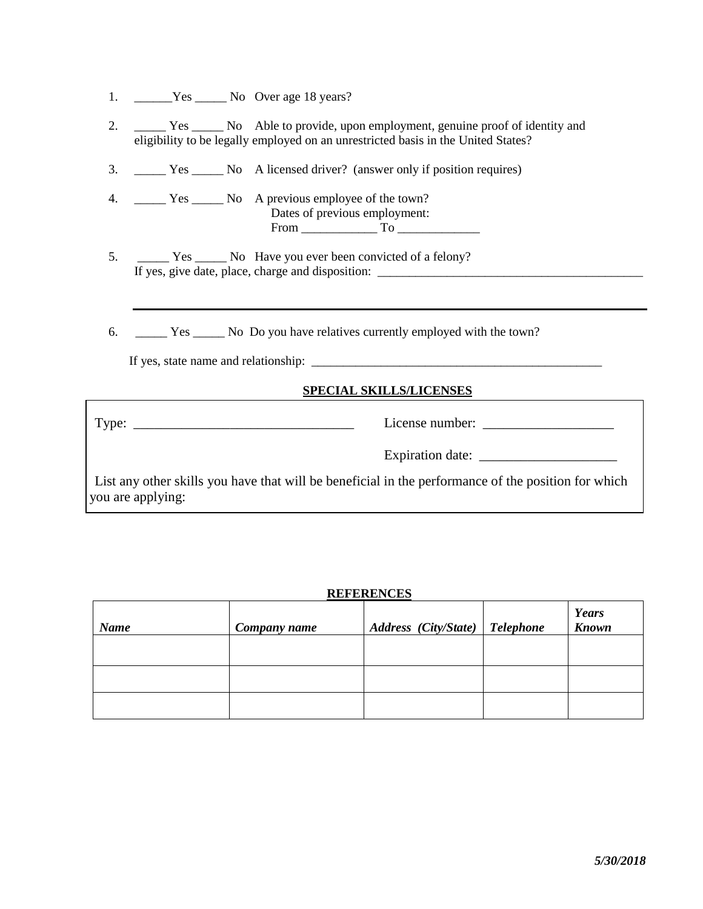| Yes. | No Over age 18 years? |  |
|------|-----------------------|--|
|      |                       |  |
|      |                       |  |

- 2. \_\_\_\_\_ Yes \_\_\_\_\_ No Able to provide, upon employment, genuine proof of identity and eligibility to be legally employed on an unrestricted basis in the United States?
- 3. \_\_\_\_\_ Yes \_\_\_\_\_ No A licensed driver? (answer only if position requires)
- 4. \_\_\_\_\_\_ Yes \_\_\_\_\_\_ No A previous employee of the town? Dates of previous employment: From \_\_\_\_\_\_\_\_\_\_\_\_ To \_\_\_\_\_\_\_\_\_\_\_\_\_
- 5. \_\_\_\_\_\_ Yes \_\_\_\_\_ No Have you ever been convicted of a felony? If yes, give date, place, charge and disposition: \_\_\_\_\_\_\_\_\_\_\_\_\_\_\_\_\_\_\_\_\_\_\_\_\_\_\_\_\_\_\_\_\_\_\_\_\_\_\_\_\_\_
- 6. \_\_\_\_\_ Yes \_\_\_\_\_ No Do you have relatives currently employed with the town?

If yes, state name and relationship: \_\_\_\_\_\_\_\_\_\_\_\_\_\_\_\_\_\_\_\_\_\_\_\_\_\_\_\_\_\_\_\_\_\_\_\_\_\_\_\_\_\_\_\_\_\_

#### **SPECIAL SKILLS/LICENSES**

|                                                                                                                          | Expiration date: |
|--------------------------------------------------------------------------------------------------------------------------|------------------|
| List any other skills you have that will be beneficial in the performance of the position for which<br>you are applying: |                  |

### **REFERENCES**

| <b>Name</b> | Company name | Address (City/State)   Telephone | <b>Years</b><br><b>Known</b> |
|-------------|--------------|----------------------------------|------------------------------|
|             |              |                                  |                              |
|             |              |                                  |                              |
|             |              |                                  |                              |